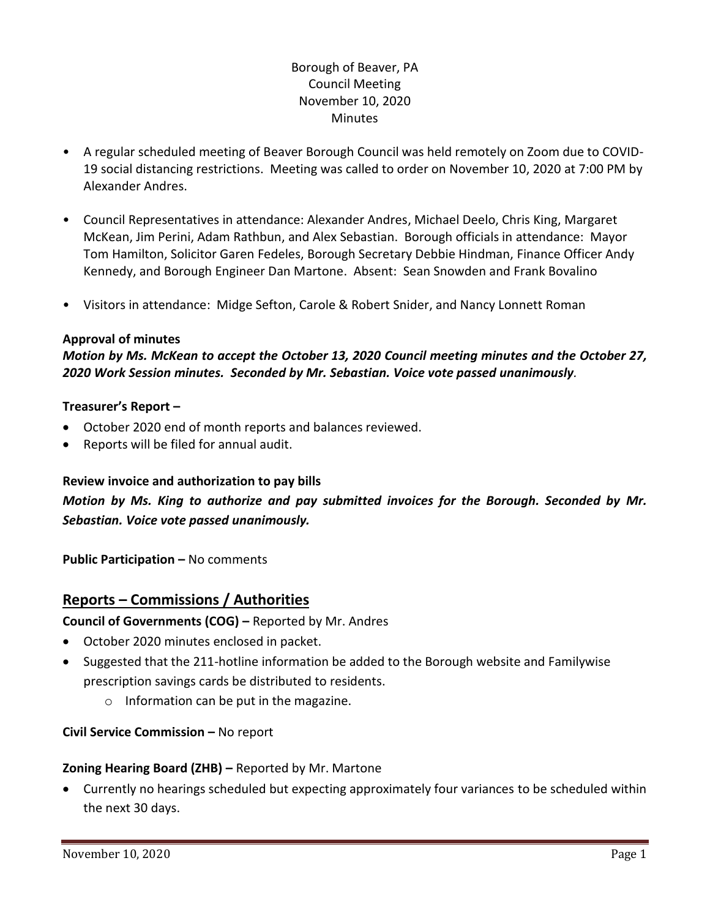# Borough of Beaver, PA Council Meeting November 10, 2020 **Minutes**

- A regular scheduled meeting of Beaver Borough Council was held remotely on Zoom due to COVID-19 social distancing restrictions. Meeting was called to order on November 10, 2020 at 7:00 PM by Alexander Andres.
- Council Representatives in attendance: Alexander Andres, Michael Deelo, Chris King, Margaret McKean, Jim Perini, Adam Rathbun, and Alex Sebastian. Borough officials in attendance: Mayor Tom Hamilton, Solicitor Garen Fedeles, Borough Secretary Debbie Hindman, Finance Officer Andy Kennedy, and Borough Engineer Dan Martone. Absent: Sean Snowden and Frank Bovalino
- Visitors in attendance: Midge Sefton, Carole & Robert Snider, and Nancy Lonnett Roman

#### **Approval of minutes**

*Motion by Ms. McKean to accept the October 13, 2020 Council meeting minutes and the October 27, 2020 Work Session minutes. Seconded by Mr. Sebastian. Voice vote passed unanimously.* 

#### **Treasurer's Report –**

- October 2020 end of month reports and balances reviewed.
- Reports will be filed for annual audit.

#### **Review invoice and authorization to pay bills**

*Motion by Ms. King to authorize and pay submitted invoices for the Borough. Seconded by Mr. Sebastian. Voice vote passed unanimously.*

**Public Participation –** No comments

## **Reports – Commissions / Authorities**

**Council of Governments (COG) –** Reported by Mr. Andres

- October 2020 minutes enclosed in packet.
- Suggested that the 211-hotline information be added to the Borough website and Familywise prescription savings cards be distributed to residents.
	- o Information can be put in the magazine.

#### **Civil Service Commission –** No report

#### **Zoning Hearing Board (ZHB) –** Reported by Mr. Martone

• Currently no hearings scheduled but expecting approximately four variances to be scheduled within the next 30 days.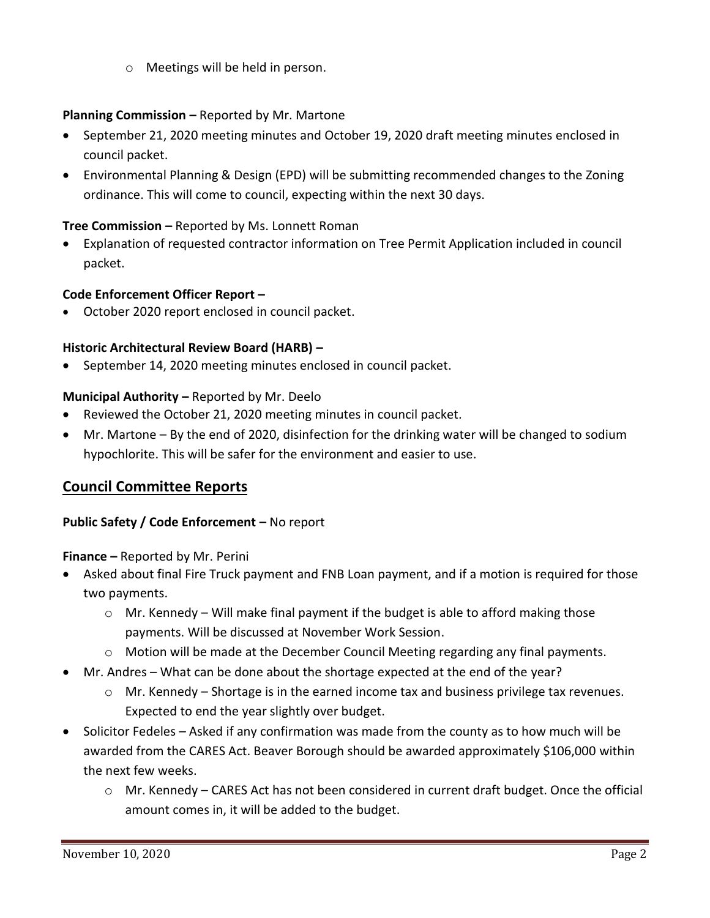o Meetings will be held in person.

## **Planning Commission –** Reported by Mr. Martone

- September 21, 2020 meeting minutes and October 19, 2020 draft meeting minutes enclosed in council packet.
- Environmental Planning & Design (EPD) will be submitting recommended changes to the Zoning ordinance. This will come to council, expecting within the next 30 days.

## **Tree Commission –** Reported by Ms. Lonnett Roman

• Explanation of requested contractor information on Tree Permit Application included in council packet.

## **Code Enforcement Officer Report –**

• October 2020 report enclosed in council packet.

# **Historic Architectural Review Board (HARB) –**

September 14, 2020 meeting minutes enclosed in council packet.

## **Municipal Authority –** Reported by Mr. Deelo

- Reviewed the October 21, 2020 meeting minutes in council packet.
- Mr. Martone By the end of 2020, disinfection for the drinking water will be changed to sodium hypochlorite. This will be safer for the environment and easier to use.

# **Council Committee Reports**

## **Public Safety / Code Enforcement - No report**

**Finance –** Reported by Mr. Perini

- Asked about final Fire Truck payment and FNB Loan payment, and if a motion is required for those two payments.
	- $\circ$  Mr. Kennedy Will make final payment if the budget is able to afford making those payments. Will be discussed at November Work Session.
	- o Motion will be made at the December Council Meeting regarding any final payments.
- Mr. Andres What can be done about the shortage expected at the end of the year?
	- $\circ$  Mr. Kennedy Shortage is in the earned income tax and business privilege tax revenues. Expected to end the year slightly over budget.
- Solicitor Fedeles Asked if any confirmation was made from the county as to how much will be awarded from the CARES Act. Beaver Borough should be awarded approximately \$106,000 within the next few weeks.
	- o Mr. Kennedy CARES Act has not been considered in current draft budget. Once the official amount comes in, it will be added to the budget.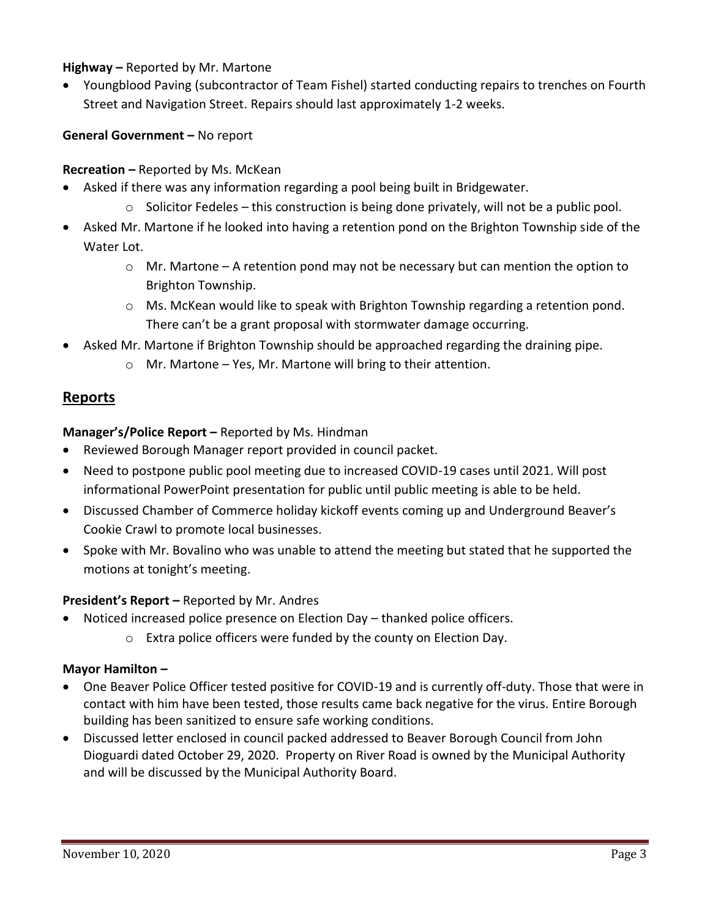## **Highway –** Reported by Mr. Martone

• Youngblood Paving (subcontractor of Team Fishel) started conducting repairs to trenches on Fourth Street and Navigation Street. Repairs should last approximately 1-2 weeks.

## **General Government –** No report

## **Recreation –** Reported by Ms. McKean

- Asked if there was any information regarding a pool being built in Bridgewater.
	- $\circ$  Solicitor Fedeles this construction is being done privately, will not be a public pool.
- Asked Mr. Martone if he looked into having a retention pond on the Brighton Township side of the Water Lot.
	- $\circ$  Mr. Martone A retention pond may not be necessary but can mention the option to Brighton Township.
	- o Ms. McKean would like to speak with Brighton Township regarding a retention pond. There can't be a grant proposal with stormwater damage occurring.
- Asked Mr. Martone if Brighton Township should be approached regarding the draining pipe.
	- o Mr. Martone Yes, Mr. Martone will bring to their attention.

# **Reports**

#### **Manager's/Police Report –** Reported by Ms. Hindman

- Reviewed Borough Manager report provided in council packet.
- Need to postpone public pool meeting due to increased COVID-19 cases until 2021. Will post informational PowerPoint presentation for public until public meeting is able to be held.
- Discussed Chamber of Commerce holiday kickoff events coming up and Underground Beaver's Cookie Crawl to promote local businesses.
- Spoke with Mr. Bovalino who was unable to attend the meeting but stated that he supported the motions at tonight's meeting.

#### **President's Report –** Reported by Mr. Andres

- Noticed increased police presence on Election Day thanked police officers.
	- o Extra police officers were funded by the county on Election Day.

#### **Mayor Hamilton –**

- One Beaver Police Officer tested positive for COVID-19 and is currently off-duty. Those that were in contact with him have been tested, those results came back negative for the virus. Entire Borough building has been sanitized to ensure safe working conditions.
- Discussed letter enclosed in council packed addressed to Beaver Borough Council from John Dioguardi dated October 29, 2020. Property on River Road is owned by the Municipal Authority and will be discussed by the Municipal Authority Board.